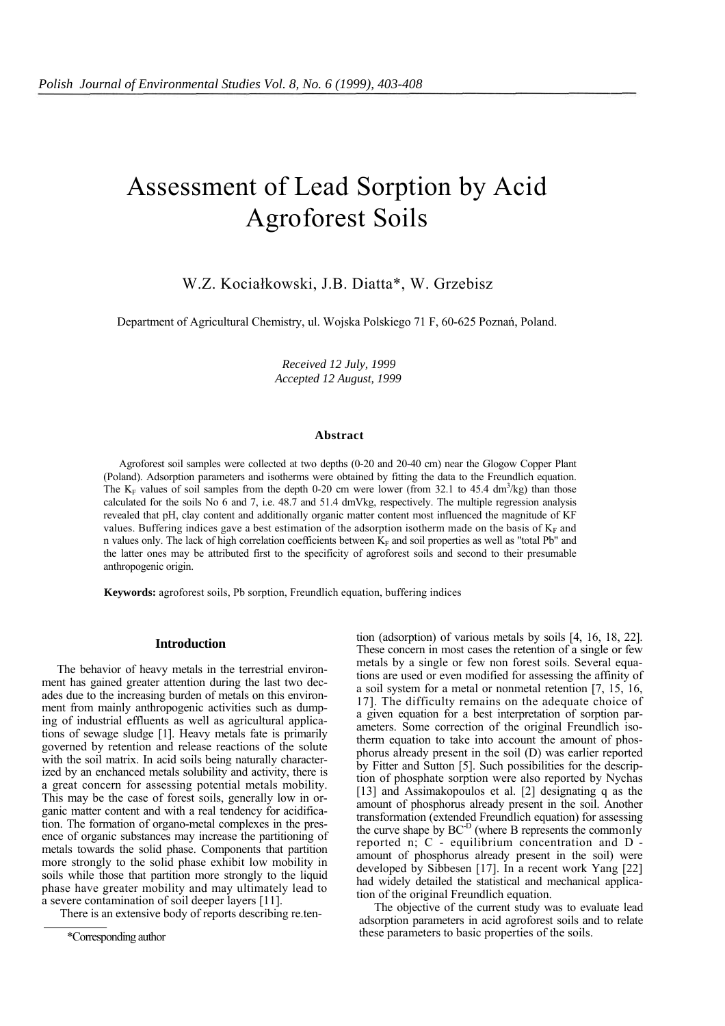# Assessment of Lead Sorption by Acid Agroforest Soils

W.Z. Kociałkowski, J.B. Diatta\*, W. Grzebisz

Department of Agricultural Chemistry, ul. Wojska Polskiego 71 F, 60-625 Poznań, Poland.

*Received 12 July, 1999 Accepted 12 August, 1999*

#### **Abstract**

Agroforest soil samples were collected at two depths (0-20 and 20-40 cm) near the Glogow Copper Plant (Poland). Adsorption parameters and isotherms were obtained by fitting the data to the Freundlich equation. The  $K_F$  values of soil samples from the depth 0-20 cm were lower (from 32.1 to 45.4 dm<sup>3</sup>/kg) than those calculated for the soils No 6 and 7, i.e. 48.7 and 51.4 dmVkg, respectively. The multiple regression analysis revealed that pH, clay content and additionally organic matter content most influenced the magnitude of KF values. Buffering indices gave a best estimation of the adsorption isotherm made on the basis of  $K<sub>F</sub>$  and n values only. The lack of high correlation coefficients between  $K_F$  and soil properties as well as "total Pb" and the latter ones may be attributed first to the specificity of agroforest soils and second to their presumable anthropogenic origin.

**Keywords:** agroforest soils, Pb sorption, Freundlich equation, buffering indices

# **Introduction**

The behavior of heavy metals in the terrestrial environment has gained greater attention during the last two decades due to the increasing burden of metals on this environment from mainly anthropogenic activities such as dumping of industrial effluents as well as agricultural applications of sewage sludge [1]. Heavy metals fate is primarily governed by retention and release reactions of the solute with the soil matrix. In acid soils being naturally characterized by an enchanced metals solubility and activity, there is a great concern for assessing potential metals mobility. This may be the case of forest soils, generally low in organic matter content and with a real tendency for acidification. The formation of organo-metal complexes in the presence of organic substances may increase the partitioning of metals towards the solid phase. Components that partition more strongly to the solid phase exhibit low mobility in soils while those that partition more strongly to the liquid phase have greater mobility and may ultimately lead to a severe contamination of soil deeper layers [11].

There is an extensive body of reports describing re.ten-

\*Corresponding author

tion (adsorption) of various metals by soils [4, 16, 18, 22]. These concern in most cases the retention of a single or few metals by a single or few non forest soils. Several equations are used or even modified for assessing the affinity of a soil system for a metal or nonmetal retention [7, 15, 16, 17]. The difficulty remains on the adequate choice of a given equation for a best interpretation of sorption parameters. Some correction of the original Freundlich isotherm equation to take into account the amount of phosphorus already present in the soil (D) was earlier reported by Fitter and Sutton [5]. Such possibilities for the description of phosphate sorption were also reported by Nychas [13] and Assimakopoulos et al. [2] designating q as the amount of phosphorus already present in the soil. Another transformation (extended Freundlich equation) for assessing the curve shape by BC-D (where B represents the commonly reported n; C - equilibrium concentration and D amount of phosphorus already present in the soil) were developed by Sibbesen [17]. In a recent work Yang [22] had widely detailed the statistical and mechanical application of the original Freundlich equation.

The objective of the current study was to evaluate lead adsorption parameters in acid agroforest soils and to relate these parameters to basic properties of the soils.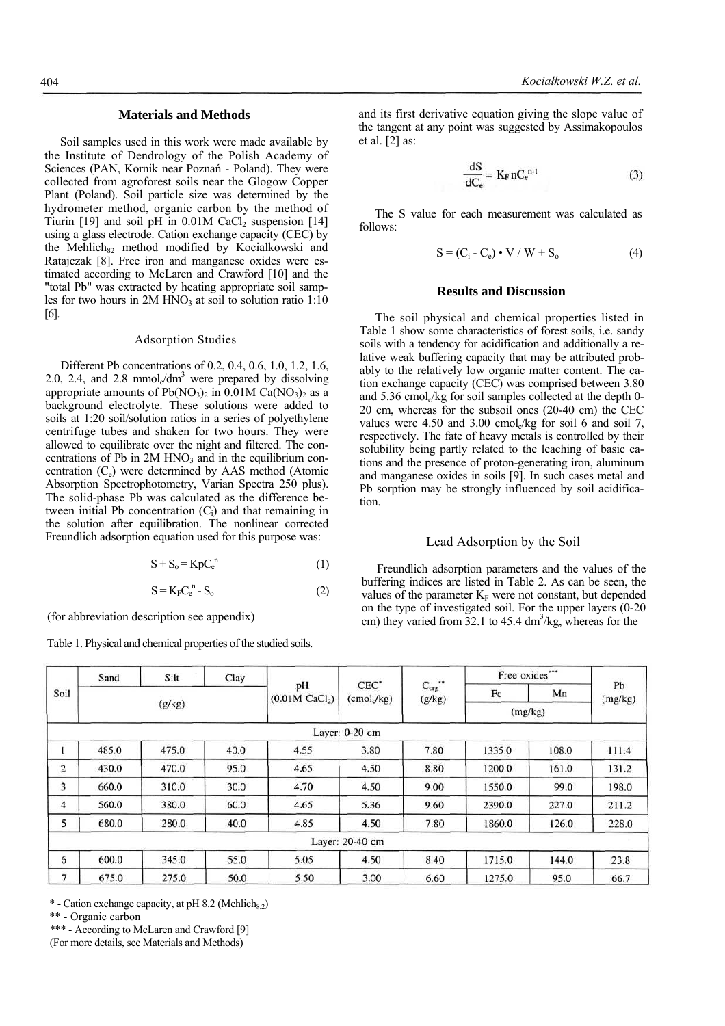# **Materials and Methods**

Soil samples used in this work were made available by the Institute of Dendrology of the Polish Academy of Sciences (PAN, Kornik near Poznań - Poland). They were collected from agroforest soils near the Glogow Copper Plant (Poland). Soil particle size was determined by the hydrometer method, organic carbon by the method of Tiurin [19] and soil pH in  $0.01M$  CaCl<sub>2</sub> suspension [14] using a glass electrode. Cation exchange capacity (CEC) by the Mehlich<sub>82</sub> method modified by Kocialkowski and Ratajczak [8]. Free iron and manganese oxides were estimated according to McLaren and Crawford [10] and the "total Pb" was extracted by heating appropriate soil samples for two hours in  $2M HNO<sub>3</sub>$  at soil to solution ratio 1:10 [6].

#### Adsorption Studies

Different Pb concentrations of 0.2, 0.4, 0.6, 1.0, 1.2, 1.6, 2.0, 2.4, and 2.8 mmol $\sqrt{dm}^3$  were prepared by dissolving appropriate amounts of  $Pb(NO<sub>3</sub>)<sub>2</sub>$  in 0.01M Ca(NO<sub>3</sub>)<sub>2</sub> as a background electrolyte. These solutions were added to soils at 1:20 soil/solution ratios in a series of polyethylene centrifuge tubes and shaken for two hours. They were allowed to equilibrate over the night and filtered. The concentrations of Pb in  $2M HNO<sub>3</sub>$  and in the equilibrium concentration  $(C_e)$  were determined by AAS method (Atomic Absorption Spectrophotometry, Varian Spectra 250 plus). The solid-phase Pb was calculated as the difference between initial Pb concentration  $(C_i)$  and that remaining in the solution after equilibration. The nonlinear corrected Freundlich adsorption equation used for this purpose was:

$$
S + S_o = KpC_e^{n}
$$
 (1)

$$
S = KFCen - So
$$
 (2)

(for abbreviation description see appendix)

Table 1. Physical and chemical properties of the studied soils.

and its first derivative equation giving the slope value of the tangent at any point was suggested by Assimakopoulos et al. [2] as:

$$
\frac{\mathrm{dS}}{\mathrm{dC}_{\mathrm{e}}} = \mathrm{K}_{\mathrm{F}} \,\mathrm{nC}_{\mathrm{e}}^{\mathrm{n-1}} \tag{3}
$$

The S value for each measurement was calculated as follows:

$$
S = (C_i - C_e) \cdot V / W + S_o \tag{4}
$$

# **Results and Discussion**

The soil physical and chemical properties listed in Table 1 show some characteristics of forest soils, i.e. sandy soils with a tendency for acidification and additionally a relative weak buffering capacity that may be attributed probably to the relatively low organic matter content. The cation exchange capacity (CEC) was comprised between 3.80 and  $5.36$  cmol./kg for soil samples collected at the depth 0-20 cm, whereas for the subsoil ones (20-40 cm) the CEC values were  $4.50$  and  $3.00$  cmol<sub>c</sub>/kg for soil 6 and soil 7, respectively. The fate of heavy metals is controlled by their solubility being partly related to the leaching of basic cations and the presence of proton-generating iron, aluminum and manganese oxides in soils [9]. In such cases metal and Pb sorption may be strongly influenced by soil acidification.

### Lead Adsorption by the Soil

Freundlich adsorption parameters and the values of the buffering indices are listed in Table 2. As can be seen, the values of the parameter  $K_F$  were not constant, but depended on the type of investigated soil. For the upper layers (0-20 cm) they varied from  $32.1$  to  $45.4 \text{ dm}^3/\text{kg}$ , whereas for the

| Soil           | Sand  | Silt   | Clay |                                    |                                    |                        | Free oxides"" |       |               |
|----------------|-------|--------|------|------------------------------------|------------------------------------|------------------------|---------------|-------|---------------|
|                |       |        |      | pH<br>$(0.01M$ CaCl <sub>2</sub> ) | $CEC^*$<br>(cmol <sub>c</sub> /kg) | $C_{org}$ **<br>(g/kg) | Fe            | Mn    | Pb<br>(mg/kg) |
|                |       | (g/kg) |      |                                    |                                    |                        | (mg/kg)       |       |               |
|                |       |        |      |                                    | Layer: 0-20 cm                     |                        |               |       |               |
|                | 485.0 | 475.0  | 40.0 | 4.55                               | 3.80                               | 7.80                   | 1335.0        | 108.0 | 111.4         |
| 2              | 430.0 | 470.0  | 95.0 | 4.65                               | 4.50                               | 8.80                   | 1200.0        | 161.0 | 131.2         |
| 3              | 660.0 | 310.0  | 30.0 | 4.70                               | 4.50                               | 9.00                   | 1550.0        | 99.0  | 198.0         |
| 4              | 560.0 | 380.0  | 60.0 | 4.65                               | 5.36                               | 9.60                   | 2390.0        | 227.0 | 211.2         |
| 5              | 680.0 | 280.0  | 40.0 | 4.85                               | 4.50                               | 7.80                   | 1860.0        | 126.0 | 228.0         |
|                |       |        |      |                                    | Layer: 20-40 cm                    |                        |               |       |               |
| 6              | 600.0 | 345.0  | 55.0 | 5.05                               | 4.50                               | 8.40                   | 1715.0        | 144.0 | 23.8          |
| $\overline{7}$ | 675.0 | 275.0  | 50.0 | 5.50                               | 3.00                               | 6.60                   | 1275.0        | 95.0  | 66.7          |

 $*$  - Cation exchange capacity, at pH 8.2 (Mehlich<sub>8.2</sub>)

\*\* - Organic carbon

\*\*\* - According to McLaren and Crawford [9]

(For more details, see Materials and Methods)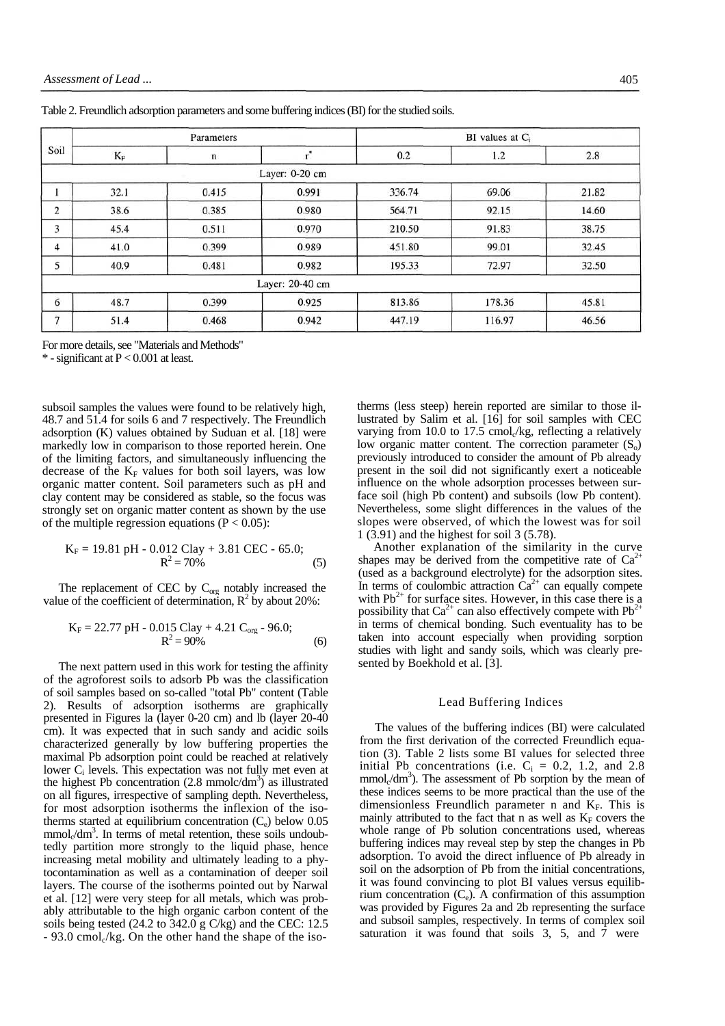|                |                      | Parameters |                 | $BI$ values at $C_i$ |        |       |  |
|----------------|----------------------|------------|-----------------|----------------------|--------|-------|--|
| Soil           | $\mathbf{K}_{\rm F}$ | n          |                 | 0.2                  | 1.2    | 2.8   |  |
|                |                      |            | Layer: 0-20 cm  |                      |        |       |  |
|                | 32.1                 | 0.415      | 0.991           | 336.74               | 69.06  | 21.82 |  |
| 2              | 38.6                 | 0.385      | 0.980           | 564.71               | 92.15  | 14.60 |  |
| 3              | 45.4                 | 0.511      | 0.970           | 210.50               | 91.83  | 38.75 |  |
| 4              | 41.0                 | 0.399      | 0.989           | 451.80               | 99.01  | 32.45 |  |
| 5              | 40.9                 | 0.481      | 0.982           | 195.33               | 72.97  | 32.50 |  |
|                |                      |            | Layer: 20-40 cm |                      |        |       |  |
| 6              | 48.7                 | 0.399      | 0.925           | 813.86               | 178.36 | 45.81 |  |
| $\overline{7}$ | 51.4                 | 0.468      | 0.942           | 447.19               | 116.97 | 46.56 |  |

Table 2. Freundlich adsorption parameters and some buffering indices (BI) for the studied soils.

For more details, see "Materials and Methods"

 $*$  - significant at  $P < 0.001$  at least.

subsoil samples the values were found to be relatively high, 48.7 and 51.4 for soils 6 and 7 respectively. The Freundlich adsorption (K) values obtained by Suduan et al. [18] were markedly low in comparison to those reported herein. One of the limiting factors, and simultaneously influencing the decrease of the  $K_F$  values for both soil layers, was low organic matter content. Soil parameters such as pH and clay content may be considered as stable, so the focus was strongly set on organic matter content as shown by the use of the multiple regression equations ( $P < 0.05$ ):

$$
K_F = 19.81 \text{ pH} - 0.012 \text{ Clay} + 3.81 \text{ CEC} - 65.0;
$$
  

$$
R^2 = 70\% \tag{5}
$$

The replacement of CEC by  $C_{org}$  notably increased the value of the coefficient of determination,  $R^2$  by about 20%:

$$
K_F = 22.77 \text{ pH} - 0.015 \text{ Clay} + 4.21 \text{ C}_{org} - 96.0;
$$
  

$$
R^2 = 90\% \tag{6}
$$

The next pattern used in this work for testing the affinity of the agroforest soils to adsorb Pb was the classification of soil samples based on so-called "total Pb" content (Table 2). Results of adsorption isotherms are graphically presented in Figures la (layer 0-20 cm) and lb (layer 20-40 cm). It was expected that in such sandy and acidic soils characterized generally by low buffering properties the maximal Pb adsorption point could be reached at relatively lower Ci levels. This expectation was not fully met even at the highest Pb concentration  $(2.8 \text{ mmolc/dm}^3)$  as illustrated on all figures, irrespective of sampling depth. Nevertheless, for most adsorption isotherms the inflexion of the isotherms started at equilibrium concentration  $(C_e)$  below 0.05  $mmol<sub>c</sub>/dm<sup>3</sup>$ . In terms of metal retention, these soils undoubtedly partition more strongly to the liquid phase, hence increasing metal mobility and ultimately leading to a phytocontamination as well as a contamination of deeper soil layers. The course of the isotherms pointed out by Narwal et al. [12] were very steep for all metals, which was probably attributable to the high organic carbon content of the soils being tested (24.2 to 342.0 g C/kg) and the CEC: 12.5  $-93.0$  cmol $\sqrt{k}$ g. On the other hand the shape of the iso-

therms (less steep) herein reported are similar to those illustrated by Salim et al. [16] for soil samples with CEC varying from 10.0 to 17.5 cmol $\sqrt{k}$ g, reflecting a relatively low organic matter content. The correction parameter  $(S_0)$ previously introduced to consider the amount of Pb already present in the soil did not significantly exert a noticeable influence on the whole adsorption processes between surface soil (high Pb content) and subsoils (low Pb content). Nevertheless, some slight differences in the values of the slopes were observed, of which the lowest was for soil 1 (3.91) and the highest for soil 3 (5.78).

Another explanation of the similarity in the curve shapes may be derived from the competitive rate of  $Ca<sup>2</sup>$ (used as a background electrolyte) for the adsorption sites. In terms of coulombic attraction  $Ca^{2+}$  can equally compete with  $Pb^{2+}$  for surface sites. However, in this case there is a possibility that  $Ca^{2+}$  can also effectively compete with  $Pb^{2+}$ in terms of chemical bonding. Such eventuality has to be taken into account especially when providing sorption studies with light and sandy soils, which was clearly presented by Boekhold et al. [3].

#### Lead Buffering Indices

The values of the buffering indices (BI) were calculated from the first derivation of the corrected Freundlich equation (3). Table 2 lists some BI values for selected three initial Pb concentrations (i.e.  $C_i = 0.2$ , 1.2, and 2.8  $mmol<sub>c</sub>/dm<sup>3</sup>$ ). The assessment of Pb sorption by the mean of these indices seems to be more practical than the use of the dimensionless Freundlich parameter n and  $K_F$ . This is mainly attributed to the fact that n as well as  $K_F$  covers the whole range of Pb solution concentrations used, whereas buffering indices may reveal step by step the changes in Pb adsorption. To avoid the direct influence of Pb already in soil on the adsorption of Pb from the initial concentrations. it was found convincing to plot BI values versus equilibrium concentration  $(C_e)$ . A confirmation of this assumption was provided by Figures 2a and 2b representing the surface and subsoil samples, respectively. In terms of complex soil saturation it was found that soils 3, 5, and 7 were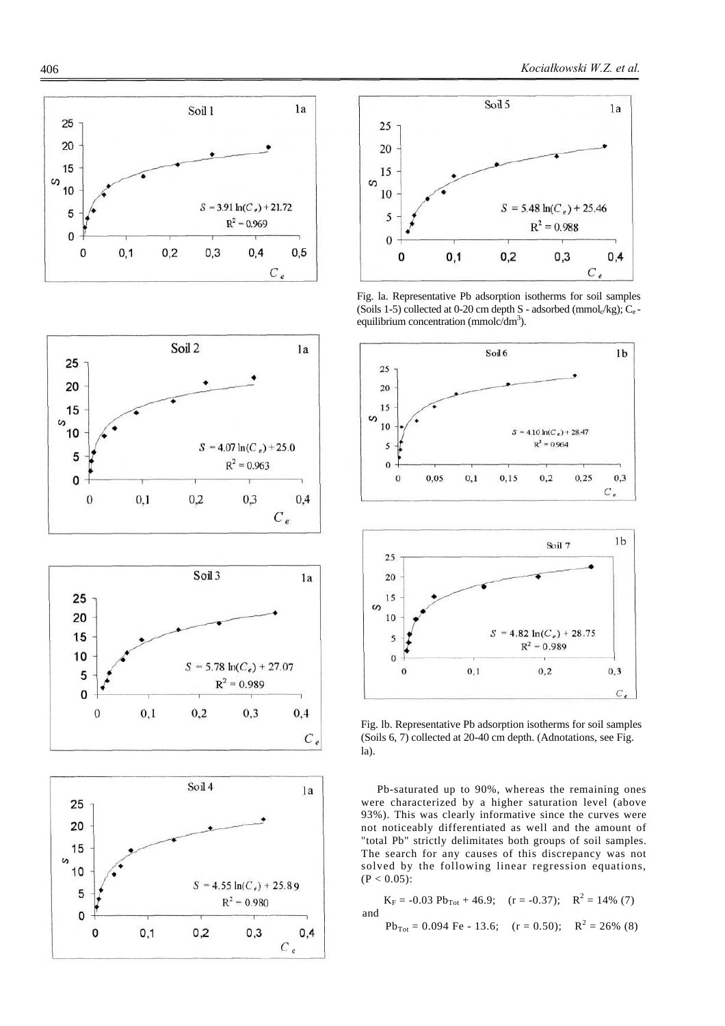







Fig. la. Representative Pb adsorption isotherms for soil samples (Soils 1-5) collected at 0-20 cm depth S - adsorbed ( $\text{mmol}_{\alpha}/\text{kg}$ );  $\text{C}_{\text{e}}$ equilibrium concentration (mmolc/dm<sup>3</sup>).



Fig. lb. Representative Pb adsorption isotherms for soil samples (Soils 6, 7) collected at 20-40 cm depth. (Adnotations, see Fig. la).

Pb-saturated up to 90%, whereas the remaining ones were characterized by a higher saturation level (above 93%). This was clearly informative since the curves were not noticeably differentiated as well and the amount of "total Pb" strictly delimitates both groups of soil samples. The search for any causes of this discrepancy was not solved by the following linear regression equations,  $(P < 0.05)$ :

 $K_F = -0.03$   $Pb_{Tot} + 46.9$ ; (r = -0.37);  $R^2 = 14\%$  (7) and  $Pb_{Tot} = 0.094$  Fe - 13.6; (r = 0.50);  $R^2 = 26\%$  (8)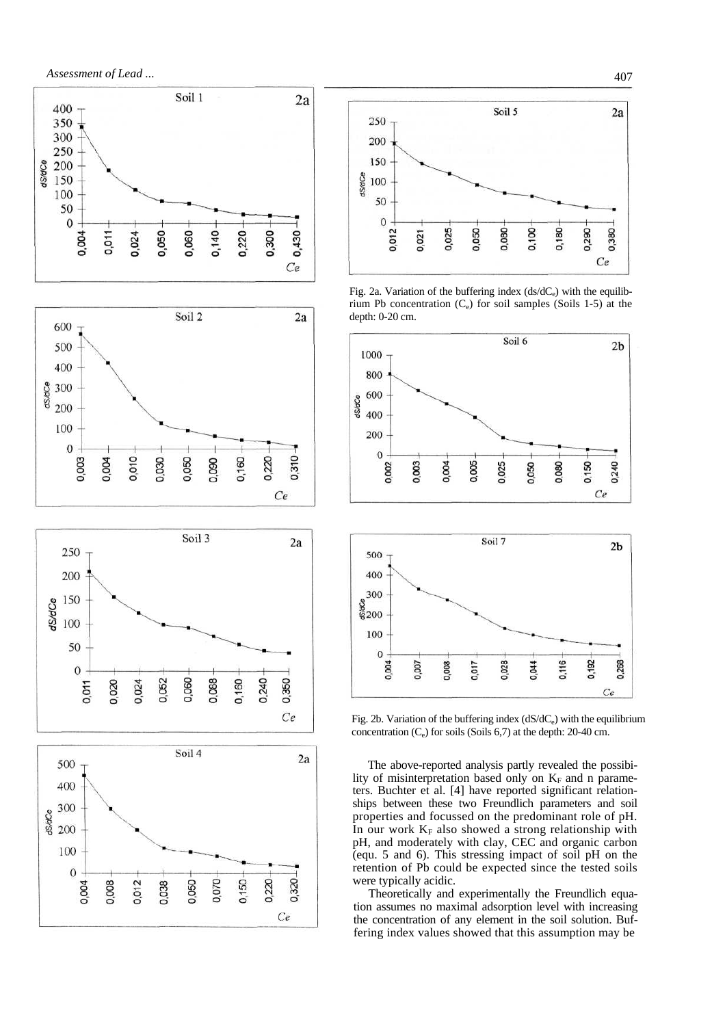









Fig. 2a. Variation of the buffering index  $(ds/dC_e)$  with the equilibrium Pb concentration  $(C_e)$  for soil samples (Soils 1-5) at the depth: 0-20 cm.



Fig. 2b. Variation of the buffering index  $(dS/dC_e)$  with the equilibrium concentration  $(C_e)$  for soils (Soils 6,7) at the depth: 20-40 cm.

0,028

0,044

 $\overline{C}$ 

0,007

0,004

0,008

0,017

The above-reported analysis partly revealed the possibility of misinterpretation based only on  $K_F$  and n parameters. Buchter et al. [4] have reported significant relationships between these two Freundlich parameters and soil properties and focussed on the predominant role of pH. In our work  $K_F$  also showed a strong relationship with pH, and moderately with clay, CEC and organic carbon (equ. 5 and 6). This stressing impact of soil pH on the retention of Pb could be expected since the tested soils were typically acidic.

Theoretically and experimentally the Freundlich equation assumes no maximal adsorption level with increasing the concentration of any element in the soil solution. Buffering index values showed that this assumption may be